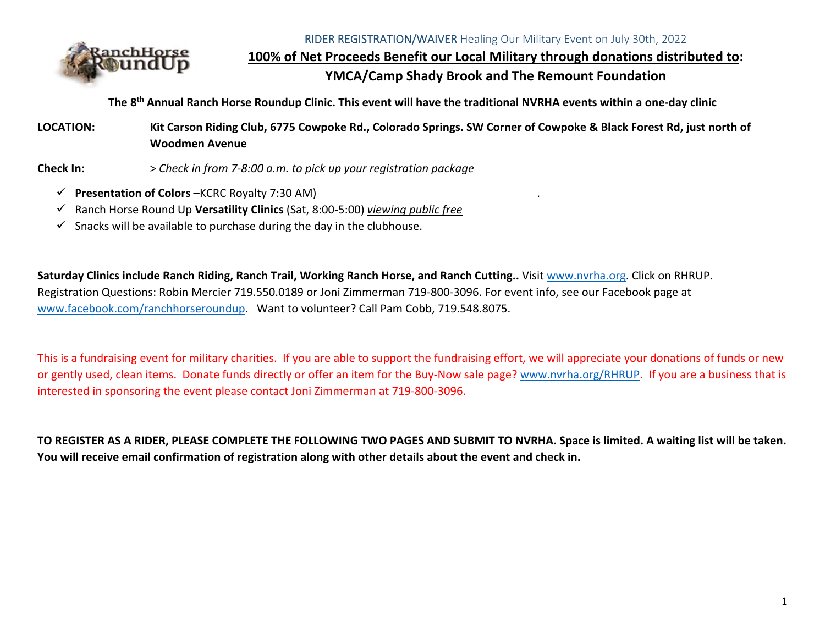RIDER REGISTRATION/WAIVER Healing Our Military Event on July 30th, 2022



**100% of Net Proceeds Benefit our Local Military through donations distributed to: YMCA/Camp Shady Brook and The Remount Foundation**

**The 8th Annual Ranch Horse Roundup Clinic. This event will have the traditional NVRHA events within a one‐day clinic** 

**LOCATION: Kit Carson Riding Club, 6775 Cowpoke Rd., Colorado Springs. SW Corner of Cowpoke & Black Forest Rd, just north of Woodmen Avenue** 

**Check In:** <sup>&</sup>gt;*Check in from 7‐8:00 a.m. to pick up your registration package*

- **Presentation of Colors** –KCRC Royalty 7:30 AM) .
- Ranch Horse Round Up **Versatility Clinics** (Sat, 8:00‐5:00) *viewing public free*
- $\checkmark$  Snacks will be available to purchase during the day in the clubhouse.

**Saturday Clinics include Ranch Riding, Ranch Trail, Working Ranch Horse, and Ranch Cutting..** Visit www.nvrha.org. Click on RHRUP. Registration Questions: Robin Mercier 719.550.0189 or Joni Zimmerman 719‐800‐3096. For event info, see our Facebook page at www.facebook.com/ranchhorseroundup. Want to volunteer? Call Pam Cobb, 719.548.8075.

This is a fundraising event for military charities. If you are able to support the fundraising effort, we will appreciate your donations of funds or new or gently used, clean items. Donate funds directly or offer an item for the Buy‐Now sale page? www.nvrha.org/RHRUP. If you are a business that is interested in sponsoring the event please contact Joni Zimmerman at 719‐800‐3096.

**TO REGISTER AS A RIDER, PLEASE COMPLETE THE FOLLOWING TWO PAGES AND SUBMIT TO NVRHA. Space is limited. A waiting list will be taken. You will receive email confirmation of registration along with other details about the event and check in.**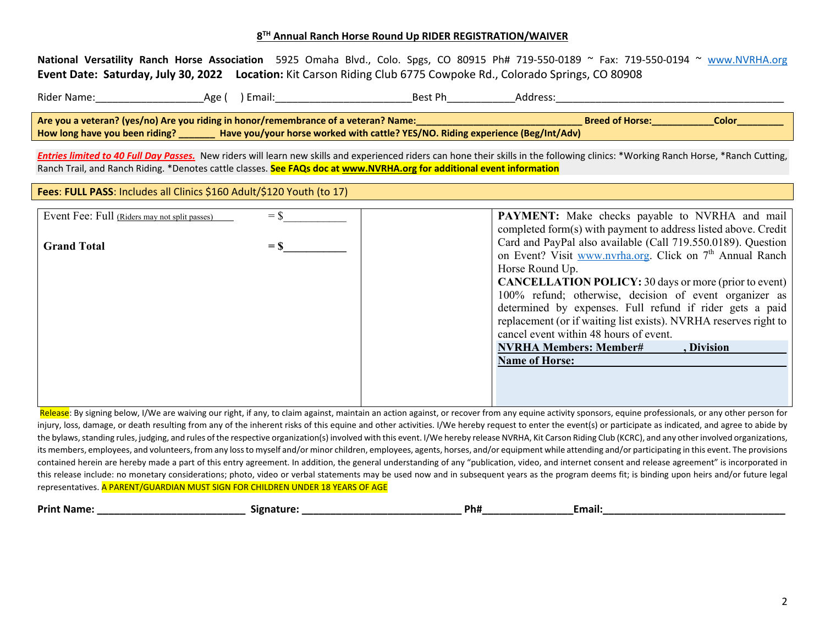## **<sup>8</sup>TH Annual Ranch Horse Round Up RIDER REGISTRATION/WAIVER**

**National Versatility Ranch Horse Association**  5925 Omaha Blvd., Colo. Spgs, CO 80915 Ph# 719‐550‐0189 <sup>~</sup> Fax: 719‐550‐0194 <sup>~</sup> www.NVRHA.org **Event Date: Saturday, July 30, 2022 Location:** Kit Carson Riding Club 6775 Cowpoke Rd., Colorado Springs, CO 80908

| Rider Name:                                                                                                                   | Age i | Email: | Best Ph | Address: |  |  |  |
|-------------------------------------------------------------------------------------------------------------------------------|-------|--------|---------|----------|--|--|--|
| Are you a veteran? (yes/no) Are you riding in honor/remembrance of a veteran? Name:<br><b>Color</b><br><b>Breed of Horse:</b> |       |        |         |          |  |  |  |
| Have you/your horse worked with cattle? YES/NO. Riding experience (Beg/Int/Adv)<br>How long have you been riding?             |       |        |         |          |  |  |  |

*Entries limited to 40 Full Day Passes.* New riders will learn new skills and experienced riders can hone their skills in the following clinics: \*Working Ranch Horse, \*Ranch Cutting, Ranch Trail, and Ranch Riding. \*Denotes cattle classes. **See FAQs doc at www.NVRHA.org for additional event information**

**Fees**: **FULL PASS**: Includes all Clinics \$160 Adult/\$120 Youth (to 17)

| Event Fee: Full (Riders may not split passes) | $=$ \$           | PAYMENT: Make checks payable to NVRHA and mail                       |
|-----------------------------------------------|------------------|----------------------------------------------------------------------|
|                                               |                  | completed form(s) with payment to address listed above. Credit       |
| <b>Grand Total</b>                            | $=$ $\mathbf{S}$ | Card and PayPal also available (Call 719.550.0189). Question         |
|                                               |                  | on Event? Visit www.nvrha.org. Click on 7 <sup>th</sup> Annual Ranch |
|                                               |                  | Horse Round Up.                                                      |
|                                               |                  | <b>CANCELLATION POLICY:</b> 30 days or more (prior to event)         |
|                                               |                  | 100% refund; otherwise, decision of event organizer as               |
|                                               |                  | determined by expenses. Full refund if rider gets a paid             |
|                                               |                  | replacement (or if waiting list exists). NVRHA reserves right to     |
|                                               |                  | cancel event within 48 hours of event.                               |
|                                               |                  | <b>NVRHA Members: Member#</b><br>Division                            |
|                                               |                  | <b>Name of Horse:</b>                                                |
|                                               |                  |                                                                      |
|                                               |                  |                                                                      |
|                                               |                  |                                                                      |

Release: By signing below, I/We are waiving our right, if any, to claim against, maintain an action against, or recover from any equine activity sponsors, equine professionals, or any other person for injury, loss, damage, or death resulting from any of the inherent risks of this equine and other activities. I/We hereby request to enter the event(s) or participate as indicated, and agree to abide by the bylaws, standing rules, judging, and rules of the respective organization(s) involved with this event. I/We hereby release NVRHA, Kit Carson Riding Club (KCRC), and any other involved organizations, its members, employees, and volunteers, from any loss to myself and/or minor children, employees, agents, horses, and/or equipment while attending and/or participating in this event. The provisions contained herein are hereby made a part of this entry agreement. In addition, the general understanding of any "publication, video, and internet consent and release agreement" is incorporated in this release include: no monetary considerations; photo, video or verbal statements may be used now and in subsequent years as the program deems fit; is binding upon heirs and/or future legal representatives. A PARENT/GUARDIAN MUST SIGN FOR CHILDREN UNDER 18 YEARS OF AGE

| Print<br>:Name | nt::ro<br>Signa. | Ph# | :mail: |
|----------------|------------------|-----|--------|
|                |                  |     |        |